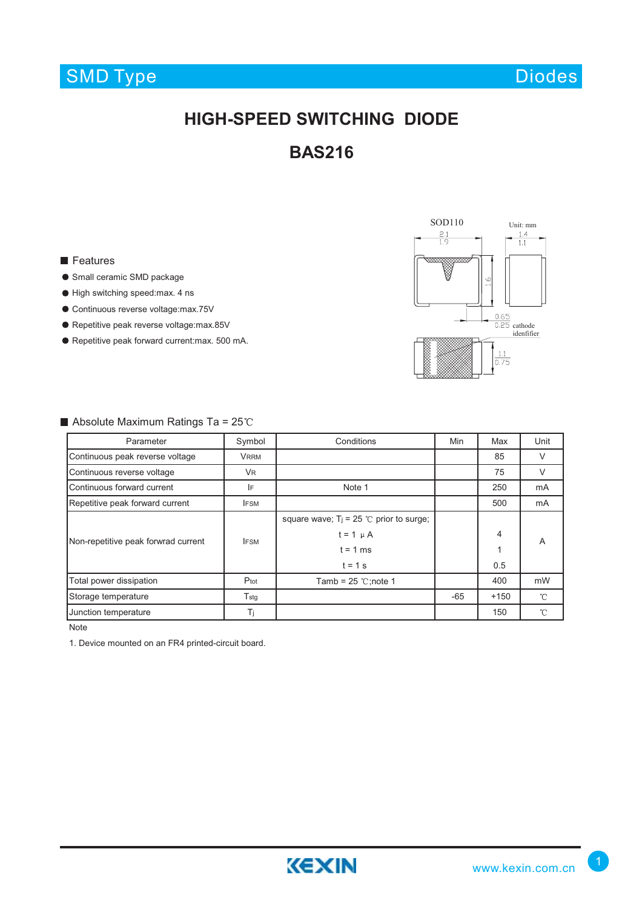## SMD Type

Diodes

### **HIGH-SPEED SWITCHING DIODE**

**BAS216**

#### **Features**

- **Small ceramic SMD package**
- High switching speed:max. 4 ns
- Continuous reverse voltage:max.75V
- Repetitive peak reverse voltage:max.85V
- Repetitive peak forward current:max. 500 mA.



#### $\blacksquare$  Absolute Maximum Ratings Ta = 25°C

| Parameter                           | Symbol           | Conditions                                                    | Min   | Max    | Unit         |
|-------------------------------------|------------------|---------------------------------------------------------------|-------|--------|--------------|
| Continuous peak reverse voltage     | <b>VRRM</b>      |                                                               |       | 85     | V            |
| Continuous reverse voltage          | <b>VR</b>        |                                                               |       | 75     | $\vee$       |
| Continuous forward current          | IF               | Note 1                                                        |       | 250    | mA           |
| Repetitive peak forward current     | <b>IFSM</b>      |                                                               |       | 500    | mA           |
| Non-repetitive peak forwrad current | <b>IFSM</b>      | square wave; $T_i = 25$ °C prior to surge;<br>$t = 1$ $\mu$ A |       | 4      | A            |
|                                     |                  | $t = 1$ ms<br>$t = 1$ s                                       |       | 0.5    |              |
| Total power dissipation             | Ptot             | Tamb = $25$ °C;note 1                                         |       | 400    | mW           |
| Storage temperature                 | $T_{\text{stg}}$ |                                                               | $-65$ | $+150$ | $^{\circ}$ C |
| Junction temperature                | Τj               |                                                               |       | 150    | $^{\circ}$ C |

Note

1. Device mounted on an FR4 printed-circuit board.